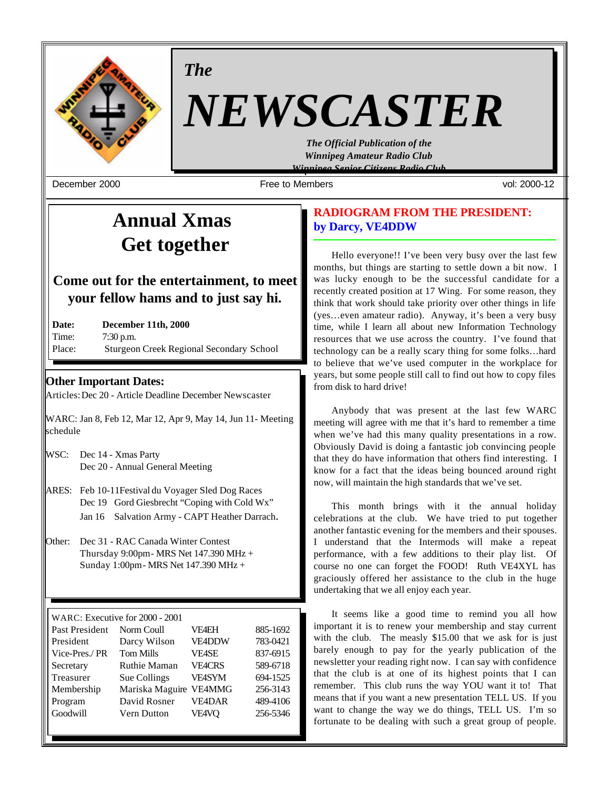

*The*

# *NEWSCASTER*

*The Official Publication of the Winnipeg Amateur Radio Club Winnipeg Senior Citizens Radio Club*

December 2000 Free to Members vol: 2000-12

# **Annual Xmas Get together**

# **Come out for the entertainment, to meet your fellow hams and to just say hi.**

| Date:  | December 11th, 2000                             |
|--------|-------------------------------------------------|
| Time:  | $7:30$ p.m.                                     |
| Place: | <b>Sturgeon Creek Regional Secondary School</b> |

# **Other Important Dates:**

Articles: Dec 20 - Article Deadline December Newscaster

WARC: Jan 8, Feb 12, Mar 12, Apr 9, May 14, Jun 11- Meeting schedule

- WSC: Dec 14 Xmas Party Dec 20 - Annual General Meeting
- ARES: Feb 10-11Festival du Voyager Sled Dog Races Dec 19 Gord Giesbrecht "Coping with Cold Wx" Jan 16 Salvation Army - CAPT Heather Darrach.
- Other: Dec 31 RAC Canada Winter Contest Thursday 9:00pm - MRS Net 147.390 MHz + Sunday 1:00pm - MRS Net 147.390 MHz +

| WARC: Executive for 2000 - 2001 |                     |               |          |  |  |
|---------------------------------|---------------------|---------------|----------|--|--|
| Past President                  | Norm Coull          | VF4EH         | 885-1692 |  |  |
| President                       | Darcy Wilson        | <b>VE4DDW</b> | 783-0421 |  |  |
| Vice-Pres./PR                   | <b>Tom Mills</b>    | <b>VF4SE</b>  | 837-6915 |  |  |
| Secretary                       | <b>Ruthie Maman</b> | <b>VEACRS</b> | 589-6718 |  |  |
| Treasurer                       | Sue Collings        | <b>VE4SYM</b> | 694-1525 |  |  |
| Membership                      | Mariska Maguire     | <b>VE4MMG</b> | 256-3143 |  |  |
| Program                         | David Rosner        | <b>VE4DAR</b> | 489-4106 |  |  |
| Goodwill                        | Vern Dutton         | <b>VE4VO</b>  | 256-5346 |  |  |
|                                 |                     |               |          |  |  |

# **RADIOGRAM FROM THE PRESIDENT: by Darcy, VE4DDW**

Hello everyone!! I've been very busy over the last few months, but things are starting to settle down a bit now. I was lucky enough to be the successful candidate for a recently created position at 17 Wing. For some reason, they think that work should take priority over other things in life (yes…even amateur radio). Anyway, it's been a very busy time, while I learn all about new Information Technology resources that we use across the country. I've found that technology can be a really scary thing for some folks…hard to believe that we've used computer in the workplace for years, but some people still call to find out how to copy files from disk to hard drive!

Anybody that was present at the last few WARC meeting will agree with me that it's hard to remember a time when we've had this many quality presentations in a row. Obviously David is doing a fantastic job convincing people that they do have information that others find interesting. I know for a fact that the ideas being bounced around right now, will maintain the high standards that we've set.

This month brings with it the annual holiday celebrations at the club. We have tried to put together another fantastic evening for the members and their spouses. I understand that the Intermods will make a repeat performance, with a few additions to their play list. Of course no one can forget the FOOD! Ruth VE4XYL has graciously offered her assistance to the club in the huge undertaking that we all enjoy each year.

It seems like a good time to remind you all how important it is to renew your membership and stay current with the club. The measly \$15.00 that we ask for is just barely enough to pay for the yearly publication of the newsletter your reading right now. I can say with confidence that the club is at one of its highest points that I can remember. This club runs the way YOU want it to! That means that if you want a new presentation TELL US. If you want to change the way we do things, TELL US. I'm so fortunate to be dealing with such a great group of people.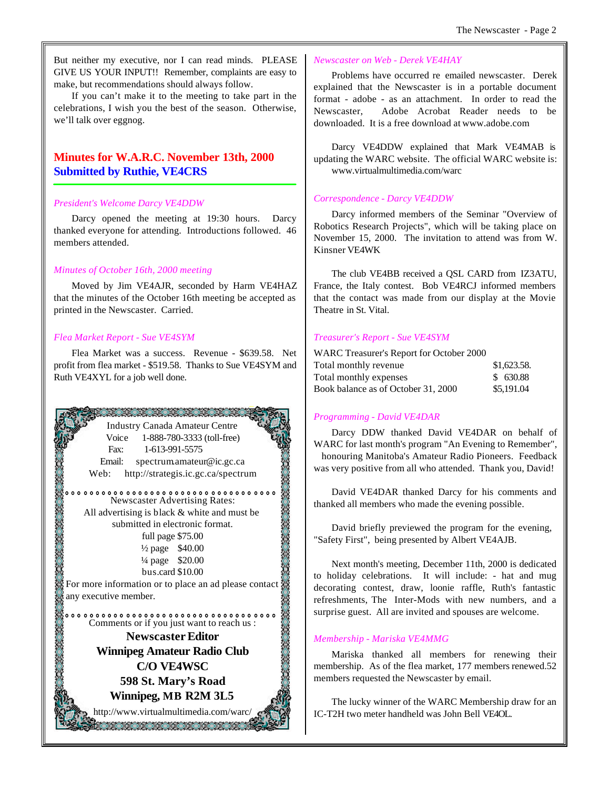But neither my executive, nor I can read minds. PLEASE GIVE US YOUR INPUT!! Remember, complaints are easy to make, but recommendations should always follow.

If you can't make it to the meeting to take part in the celebrations, I wish you the best of the season. Otherwise, we'll talk over eggnog.

# **Minutes for W.A.R.C. November 13th, 2000 Submitted by Ruthie, VE4CRS**

## *President's Welcome Darcy VE4DDW*

Darcy opened the meeting at 19:30 hours. Darcy thanked everyone for attending. Introductions followed. 46 members attended.

### *Minutes of October 16th, 2000 meeting*

Moved by Jim VE4AJR, seconded by Harm VE4HAZ that the minutes of the October 16th meeting be accepted as printed in the Newscaster. Carried.

### *Flea Market Report - Sue VE4SYM*

Flea Market was a success. Revenue - \$639.58. Net profit from flea market - \$519.58. Thanks to Sue VE4SYM and Ruth VE4XYL for a job well done.



#### *Newscaster on Web - Derek VE4HAY*

Problems have occurred re emailed newscaster. Derek explained that the Newscaster is in a portable document format - adobe - as an attachment. In order to read the Newscaster, Adobe Acrobat Reader needs to be downloaded. It is a free download at www.adobe.com

Darcy VE4DDW explained that Mark VE4MAB is updating the WARC website. The official WARC website is: www.virtualmultimedia.com/warc

#### *Correspondence - Darcy VE4DDW*

Darcy informed members of the Seminar "Overview of Robotics Research Projects", which will be taking place on November 15, 2000. The invitation to attend was from W. Kinsner VE4WK

The club VE4BB received a QSL CARD from IZ3ATU, France, the Italy contest. Bob VE4RCJ informed members that the contact was made from our display at the Movie Theatre in St. Vital.

#### *Treasurer's Report - Sue VE4SYM*

| WARC Treasurer's Report for October 2000 |             |
|------------------------------------------|-------------|
| Total monthly revenue                    | \$1,623.58. |
| Total monthly expenses                   | \$630.88    |
| Book balance as of October 31, 2000      | \$5,191.04  |

## *Programming - David VE4DAR*

Darcy DDW thanked David VE4DAR on behalf of WARC for last month's program "An Evening to Remember", honouring Manitoba's Amateur Radio Pioneers. Feedback was very positive from all who attended. Thank you, David!

David VE4DAR thanked Darcy for his comments and thanked all members who made the evening possible.

David briefly previewed the program for the evening, "Safety First", being presented by Albert VE4AJB.

Next month's meeting, December 11th, 2000 is dedicated to holiday celebrations. It will include: - hat and mug decorating contest, draw, loonie raffle, Ruth's fantastic refreshments, The Inter-Mods with new numbers, and a surprise guest. All are invited and spouses are welcome.

#### *Membership - Mariska VE4MMG*

Mariska thanked all members for renewing their membership. As of the flea market, 177 members renewed.52 members requested the Newscaster by email.

The lucky winner of the WARC Membership draw for an IC-T2H two meter handheld was John Bell VE4OL.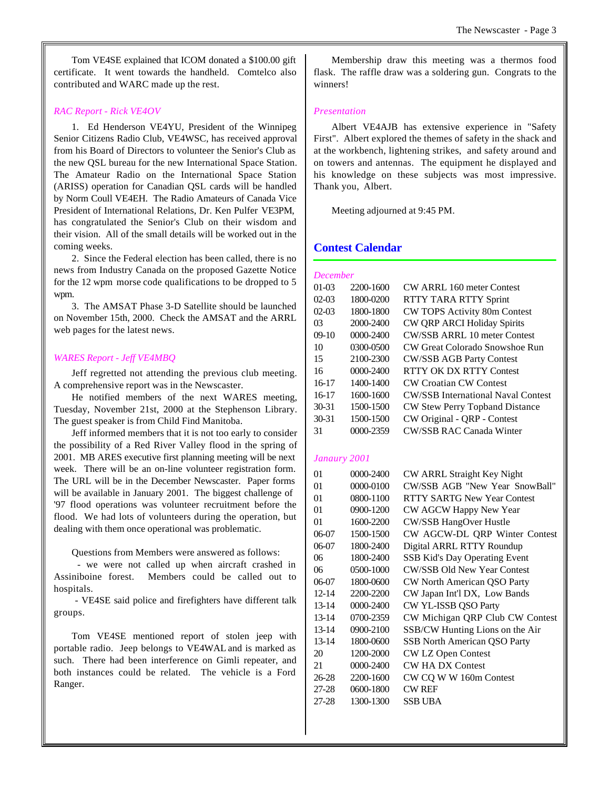Tom VE4SE explained that ICOM donated a \$100.00 gift certificate. It went towards the handheld. Comtelco also contributed and WARC made up the rest.

#### *RAC Report - Rick VE4OV*

1. Ed Henderson VE4YU, President of the Winnipeg Senior Citizens Radio Club, VE4WSC, has received approval from his Board of Directors to volunteer the Senior's Club as the new QSL bureau for the new International Space Station. The Amateur Radio on the International Space Station (ARISS) operation for Canadian QSL cards will be handled by Norm Coull VE4EH. The Radio Amateurs of Canada Vice President of International Relations, Dr. Ken Pulfer VE3PM, has congratulated the Senior's Club on their wisdom and their vision. All of the small details will be worked out in the coming weeks.

2. Since the Federal election has been called, there is no news from Industry Canada on the proposed Gazette Notice for the 12 wpm morse code qualifications to be dropped to 5 wpm.

3. The AMSAT Phase 3-D Satellite should be launched on November 15th, 2000. Check the AMSAT and the ARRL web pages for the latest news.

#### *WARES Report - Jeff VE4MBQ*

Jeff regretted not attending the previous club meeting. A comprehensive report was in the Newscaster.

He notified members of the next WARES meeting, Tuesday, November 21st, 2000 at the Stephenson Library. The guest speaker is from Child Find Manitoba.

Jeff informed members that it is not too early to consider the possibility of a Red River Valley flood in the spring of 2001. MB ARES executive first planning meeting will be next week. There will be an on-line volunteer registration form. The URL will be in the December Newscaster. Paper forms will be available in January 2001. The biggest challenge of '97 flood operations was volunteer recruitment before the flood. We had lots of volunteers during the operation, but dealing with them once operational was problematic.

Questions from Members were answered as follows:

 - we were not called up when aircraft crashed in Assiniboine forest. Members could be called out to hospitals.

 - VE4SE said police and firefighters have different talk groups.

Tom VE4SE mentioned report of stolen jeep with portable radio. Jeep belongs to VE4WAL and is marked as such. There had been interference on Gimli repeater, and both instances could be related. The vehicle is a Ford Ranger.

Membership draw this meeting was a thermos food flask. The raffle draw was a soldering gun. Congrats to the winners!

#### *Presentation*

Albert VE4AJB has extensive experience in "Safety First". Albert explored the themes of safety in the shack and at the workbench, lightening strikes, and safety around and on towers and antennas. The equipment he displayed and his knowledge on these subjects was most impressive. Thank you, Albert.

Meeting adjourned at 9:45 PM.

## **Contest Calendar**

| <b>December</b> |               |                                           |
|-----------------|---------------|-------------------------------------------|
| $01-03$         | 2200-1600     | CW ARRL 160 meter Contest                 |
| $02-03$         | 1800-0200     | RTTY TARA RTTY Sprint                     |
| $02-03$         | 1800-1800     | CW TOPS Activity 80m Contest              |
| 03              | 2000-2400     | CW QRP ARCI Holiday Spirits               |
| $09-10$         | $0000 - 2400$ | CW/SSB ARRL 10 meter Contest              |
| 10              | 0300-0500     | CW Great Colorado Snowshoe Run            |
| 15              | 2100-2300     | <b>CW/SSB AGB Party Contest</b>           |
| 16              | $0000 - 2400$ | RTTY OK DX RTTY Contest                   |
| $16-17$         | 1400-1400     | <b>CW Croatian CW Contest</b>             |
| $16-17$         | 1600-1600     | <b>CW/SSB</b> International Naval Contest |
| $30 - 31$       | 1500-1500     | CW Stew Perry Topband Distance            |
| $30 - 31$       | 1500-1500     | CW Original - QRP - Contest               |
| 31              | 0000-2359     | <b>CW/SSB RAC Canada Winter</b>           |

#### *Janaury 2001*

| 01        | 0000-2400 | CW ARRL Straight Key Night           |
|-----------|-----------|--------------------------------------|
| 01        | 0000-0100 | CW/SSB AGB "New Year SnowBall"       |
| 01        | 0800-1100 | <b>RTTY SARTG New Year Contest</b>   |
| 01        | 0900-1200 | CW AGCW Happy New Year               |
| 01        | 1600-2200 | <b>CW/SSB HangOver Hustle</b>        |
| 06-07     | 1500-1500 | CW AGCW-DL QRP Winter Contest        |
| 06-07     | 1800-2400 | Digital ARRL RTTY Roundup            |
| 06        | 1800-2400 | <b>SSB Kid's Day Operating Event</b> |
| 06        | 0500-1000 | <b>CW/SSB Old New Year Contest</b>   |
| 06-07     | 1800-0600 | CW North American QSO Party          |
| $12 - 14$ | 2200-2200 | CW Japan Int'l DX, Low Bands         |
| 13-14     | 0000-2400 | CW YL-ISSB QSO Party                 |
| 13-14     | 0700-2359 | CW Michigan QRP Club CW Contest      |
| 13-14     | 0900-2100 | SSB/CW Hunting Lions on the Air      |
| $13 - 14$ | 1800-0600 | <b>SSB North American QSO Party</b>  |
| 20        | 1200-2000 | <b>CW LZ Open Contest</b>            |
| 21        | 0000-2400 | <b>CW HA DX Contest</b>              |
| 26-28     | 2200-1600 | CW CQ W W 160m Contest               |
| 27-28     | 0600-1800 | <b>CW REF</b>                        |
| 27-28     | 1300-1300 | SSB UBA                              |
|           |           |                                      |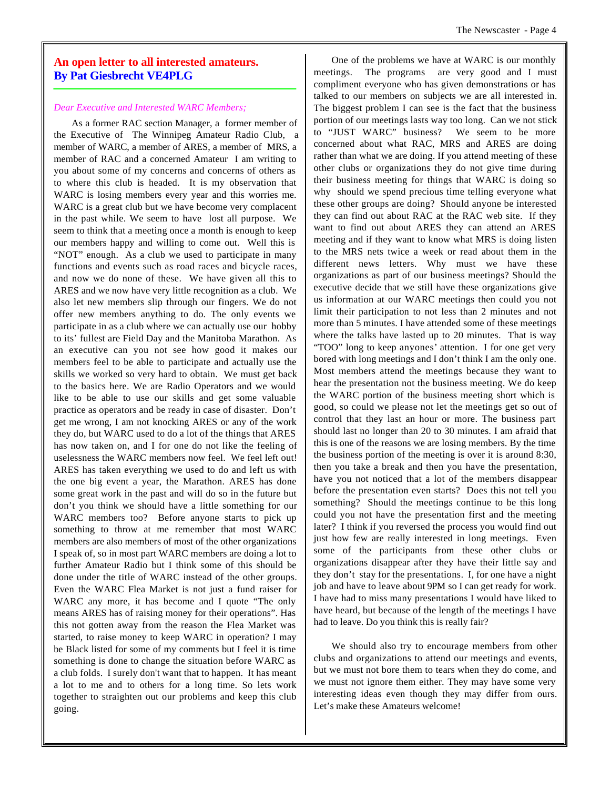# **An open letter to all interested amateurs. By Pat Giesbrecht VE4PLG**

#### *Dear Executive and Interested WARC Members;*

As a former RAC section Manager, a former member of the Executive of The Winnipeg Amateur Radio Club, a member of WARC, a member of ARES, a member of MRS, a member of RAC and a concerned Amateur I am writing to you about some of my concerns and concerns of others as to where this club is headed. It is my observation that WARC is losing members every year and this worries me. WARC is a great club but we have become very complacent in the past while. We seem to have lost all purpose. We seem to think that a meeting once a month is enough to keep our members happy and willing to come out. Well this is "NOT" enough. As a club we used to participate in many functions and events such as road races and bicycle races, and now we do none of these. We have given all this to ARES and we now have very little recognition as a club. We also let new members slip through our fingers. We do not offer new members anything to do. The only events we participate in as a club where we can actually use our hobby to its' fullest are Field Day and the Manitoba Marathon. As an executive can you not see how good it makes our members feel to be able to participate and actually use the skills we worked so very hard to obtain. We must get back to the basics here. We are Radio Operators and we would like to be able to use our skills and get some valuable practice as operators and be ready in case of disaster. Don't get me wrong, I am not knocking ARES or any of the work they do, but WARC used to do a lot of the things that ARES has now taken on, and I for one do not like the feeling of uselessness the WARC members now feel. We feel left out! ARES has taken everything we used to do and left us with the one big event a year, the Marathon. ARES has done some great work in the past and will do so in the future but don't you think we should have a little something for our WARC members too? Before anyone starts to pick up something to throw at me remember that most WARC members are also members of most of the other organizations I speak of, so in most part WARC members are doing a lot to further Amateur Radio but I think some of this should be done under the title of WARC instead of the other groups. Even the WARC Flea Market is not just a fund raiser for WARC any more, it has become and I quote "The only means ARES has of raising money for their operations". Has this not gotten away from the reason the Flea Market was started, to raise money to keep WARC in operation? I may be Black listed for some of my comments but I feel it is time something is done to change the situation before WARC as a club folds. I surely don't want that to happen. It has meant a lot to me and to others for a long time. So lets work together to straighten out our problems and keep this club going.

One of the problems we have at WARC is our monthly meetings. The programs are very good and I must compliment everyone who has given demonstrations or has talked to our members on subjects we are all interested in. The biggest problem I can see is the fact that the business portion of our meetings lasts way too long. Can we not stick to "JUST WARC" business? We seem to be more concerned about what RAC, MRS and ARES are doing rather than what we are doing. If you attend meeting of these other clubs or organizations they do not give time during their business meeting for things that WARC is doing so why should we spend precious time telling everyone what these other groups are doing? Should anyone be interested they can find out about RAC at the RAC web site. If they want to find out about ARES they can attend an ARES meeting and if they want to know what MRS is doing listen to the MRS nets twice a week or read about them in the different news letters. Why must we have these organizations as part of our business meetings? Should the executive decide that we still have these organizations give us information at our WARC meetings then could you not limit their participation to not less than 2 minutes and not more than 5 minutes. I have attended some of these meetings where the talks have lasted up to 20 minutes. That is way "TOO" long to keep anyones' attention. I for one get very bored with long meetings and I don't think I am the only one. Most members attend the meetings because they want to hear the presentation not the business meeting. We do keep the WARC portion of the business meeting short which is good, so could we please not let the meetings get so out of control that they last an hour or more. The business part should last no longer than 20 to 30 minutes. I am afraid that this is one of the reasons we are losing members. By the time the business portion of the meeting is over it is around 8:30, then you take a break and then you have the presentation, have you not noticed that a lot of the members disappear before the presentation even starts? Does this not tell you something? Should the meetings continue to be this long could you not have the presentation first and the meeting later? I think if you reversed the process you would find out just how few are really interested in long meetings. Even some of the participants from these other clubs or organizations disappear after they have their little say and they don't stay for the presentations. I, for one have a night job and have to leave about 9PM so I can get ready for work. I have had to miss many presentations I would have liked to have heard, but because of the length of the meetings I have had to leave. Do you think this is really fair?

We should also try to encourage members from other clubs and organizations to attend our meetings and events, but we must not bore them to tears when they do come, and we must not ignore them either. They may have some very interesting ideas even though they may differ from ours. Let's make these Amateurs welcome!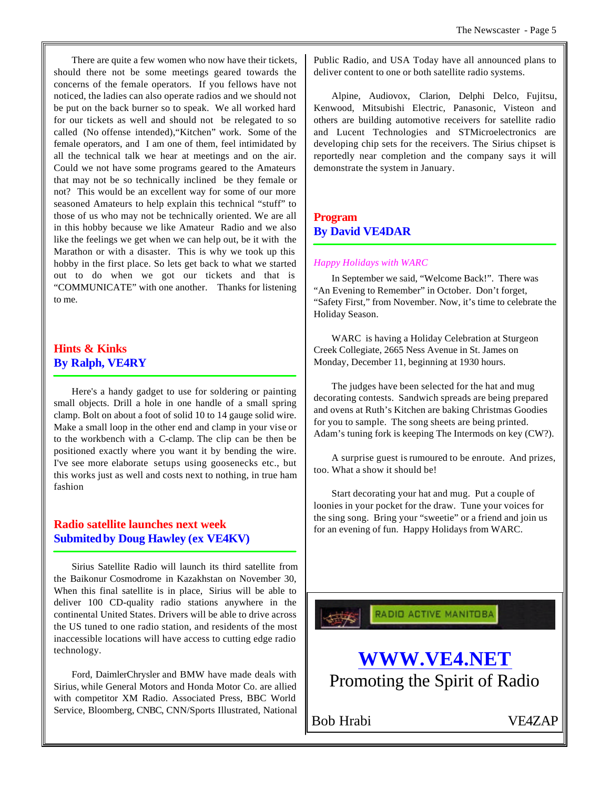There are quite a few women who now have their tickets, should there not be some meetings geared towards the concerns of the female operators. If you fellows have not noticed, the ladies can also operate radios and we should not be put on the back burner so to speak. We all worked hard for our tickets as well and should not be relegated to so called (No offense intended),"Kitchen" work. Some of the female operators, and I am one of them, feel intimidated by all the technical talk we hear at meetings and on the air. Could we not have some programs geared to the Amateurs that may not be so technically inclined be they female or not? This would be an excellent way for some of our more seasoned Amateurs to help explain this technical "stuff" to those of us who may not be technically oriented. We are all in this hobby because we like Amateur Radio and we also like the feelings we get when we can help out, be it with the Marathon or with a disaster. This is why we took up this hobby in the first place. So lets get back to what we started out to do when we got our tickets and that is "COMMUNICATE" with one another. Thanks for listening to me.

# **Hints & Kinks By Ralph, VE4RY**

Here's a handy gadget to use for soldering or painting small objects. Drill a hole in one handle of a small spring clamp. Bolt on about a foot of solid 10 to 14 gauge solid wire. Make a small loop in the other end and clamp in your vise or to the workbench with a C-clamp. The clip can be then be positioned exactly where you want it by bending the wire. I've see more elaborate setups using goosenecks etc., but this works just as well and costs next to nothing, in true ham fashion

# **Radio satellite launches next week Submited by Doug Hawley (ex VE4KV)**

Sirius Satellite Radio will launch its third satellite from the Baikonur Cosmodrome in Kazakhstan on November 30, When this final satellite is in place, Sirius will be able to deliver 100 CD-quality radio stations anywhere in the continental United States. Drivers will be able to drive across the US tuned to one radio station, and residents of the most inaccessible locations will have access to cutting edge radio technology.

Ford, DaimlerChrysler and BMW have made deals with Sirius, while General Motors and Honda Motor Co. are allied with competitor XM Radio. Associated Press, BBC World Service, Bloomberg, CNBC, CNN/Sports Illustrated, National Public Radio, and USA Today have all announced plans to deliver content to one or both satellite radio systems.

Alpine, Audiovox, Clarion, Delphi Delco, Fujitsu, Kenwood, Mitsubishi Electric, Panasonic, Visteon and others are building automotive receivers for satellite radio and Lucent Technologies and STMicroelectronics are developing chip sets for the receivers. The Sirius chipset is reportedly near completion and the company says it will demonstrate the system in January.

# **Program By David VE4DAR**

#### *Happy Holidays with WARC*

In September we said, "Welcome Back!". There was "An Evening to Remember" in October. Don't forget, "Safety First," from November. Now, it's time to celebrate the Holiday Season.

WARC is having a Holiday Celebration at Sturgeon Creek Collegiate, 2665 Ness Avenue in St. James on Monday, December 11, beginning at 1930 hours.

The judges have been selected for the hat and mug decorating contests. Sandwich spreads are being prepared and ovens at Ruth's Kitchen are baking Christmas Goodies for you to sample. The song sheets are being printed. Adam's tuning fork is keeping The Intermods on key (CW?).

A surprise guest is rumoured to be enroute. And prizes, too. What a show it should be!

Start decorating your hat and mug. Put a couple of loonies in your pocket for the draw. Tune your voices for the sing song. Bring your "sweetie" or a friend and join us for an evening of fun. Happy Holidays from WARC.

RADIO ACTIVE MANITOBA



Bob Hrabi VE4ZAP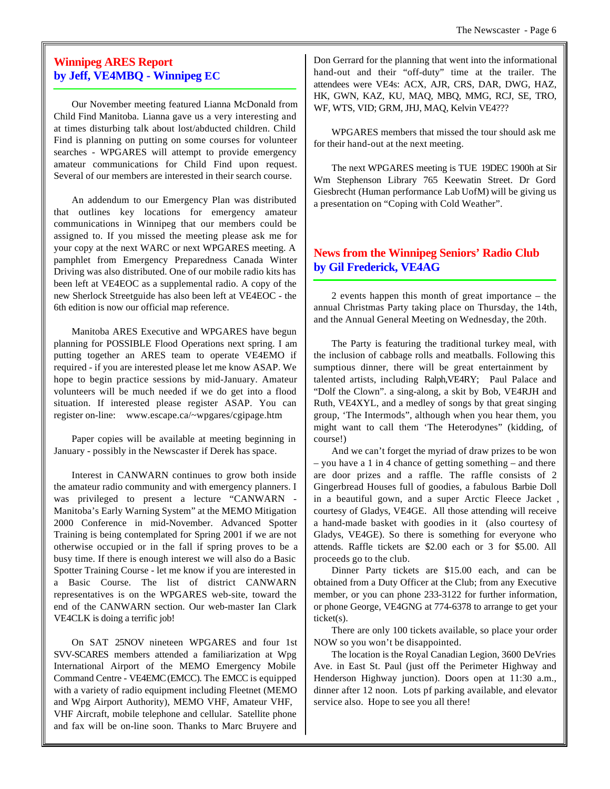# **Winnipeg ARES Report by Jeff, VE4MBQ - Winnipeg EC**

Our November meeting featured Lianna McDonald from Child Find Manitoba. Lianna gave us a very interesting and at times disturbing talk about lost/abducted children. Child Find is planning on putting on some courses for volunteer searches - WPGARES will attempt to provide emergency amateur communications for Child Find upon request. Several of our members are interested in their search course.

An addendum to our Emergency Plan was distributed that outlines key locations for emergency amateur communications in Winnipeg that our members could be assigned to. If you missed the meeting please ask me for your copy at the next WARC or next WPGARES meeting. A pamphlet from Emergency Preparedness Canada Winter Driving was also distributed. One of our mobile radio kits has been left at VE4EOC as a supplemental radio. A copy of the new Sherlock Streetguide has also been left at VE4EOC - the 6th edition is now our official map reference.

Manitoba ARES Executive and WPGARES have begun planning for POSSIBLE Flood Operations next spring. I am putting together an ARES team to operate VE4EMO if required - if you are interested please let me know ASAP. We hope to begin practice sessions by mid-January. Amateur volunteers will be much needed if we do get into a flood situation. If interested please register ASAP. You can register on-line: www.escape.ca/~wpgares/cgipage.htm

Paper copies will be available at meeting beginning in January - possibly in the Newscaster if Derek has space.

Interest in CANWARN continues to grow both inside the amateur radio community and with emergency planners. I was privileged to present a lecture "CANWARN - Manitoba's Early Warning System" at the MEMO Mitigation 2000 Conference in mid-November. Advanced Spotter Training is being contemplated for Spring 2001 if we are not otherwise occupied or in the fall if spring proves to be a busy time. If there is enough interest we will also do a Basic Spotter Training Course - let me know if you are interested in a Basic Course. The list of district CANWARN representatives is on the WPGARES web-site, toward the end of the CANWARN section. Our web-master Ian Clark VE4CLK is doing a terrific job!

On SAT 25NOV nineteen WPGARES and four 1st SVV-SCARES members attended a familiarization at Wpg International Airport of the MEMO Emergency Mobile Command Centre - VE4EMC(EMCC). The EMCC is equipped with a variety of radio equipment including Fleetnet (MEMO and Wpg Airport Authority), MEMO VHF, Amateur VHF, VHF Aircraft, mobile telephone and cellular. Satellite phone and fax will be on-line soon. Thanks to Marc Bruyere and

Don Gerrard for the planning that went into the informational hand-out and their "off-duty" time at the trailer. The attendees were VE4s: ACX, AJR, CRS, DAR, DWG, HAZ, HK, GWN, KAZ, KU, MAQ, MBQ, MMG, RCJ, SE, TRO, WF, WTS, VID; GRM, JHJ, MAQ, Kelvin VE4???

WPGARES members that missed the tour should ask me for their hand-out at the next meeting.

The next WPGARES meeting is TUE 19DEC 1900h at Sir Wm Stephenson Library 765 Keewatin Street. Dr Gord Giesbrecht (Human performance Lab UofM) will be giving us a presentation on "Coping with Cold Weather".

# **News from the Winnipeg Seniors' Radio Club by Gil Frederick, VE4AG**

2 events happen this month of great importance – the annual Christmas Party taking place on Thursday, the 14th, and the Annual General Meeting on Wednesday, the 20th.

The Party is featuring the traditional turkey meal, with the inclusion of cabbage rolls and meatballs. Following this sumptious dinner, there will be great entertainment by talented artists, including Ralph,VE4RY; Paul Palace and "Dolf the Clown". a sing-along, a skit by Bob, VE4RJH and Ruth, VE4XYL, and a medley of songs by that great singing group, 'The Intermods", although when you hear them, you might want to call them 'The Heterodynes" (kidding, of course!)

And we can't forget the myriad of draw prizes to be won – you have a 1 in 4 chance of getting something – and there are door prizes and a raffle. The raffle consists of 2 Gingerbread Houses full of goodies, a fabulous Barbie Doll in a beautiful gown, and a super Arctic Fleece Jacket , courtesy of Gladys, VE4GE. All those attending will receive a hand-made basket with goodies in it (also courtesy of Gladys, VE4GE). So there is something for everyone who attends. Raffle tickets are \$2.00 each or 3 for \$5.00. All proceeds go to the club.

Dinner Party tickets are \$15.00 each, and can be obtained from a Duty Officer at the Club; from any Executive member, or you can phone 233-3122 for further information, or phone George, VE4GNG at 774-6378 to arrange to get your ticket(s).

There are only 100 tickets available, so place your order NOW so you won't be disappointed.

The location is the Royal Canadian Legion, 3600 DeVries Ave. in East St. Paul (just off the Perimeter Highway and Henderson Highway junction). Doors open at 11:30 a.m., dinner after 12 noon. Lots pf parking available, and elevator service also. Hope to see you all there!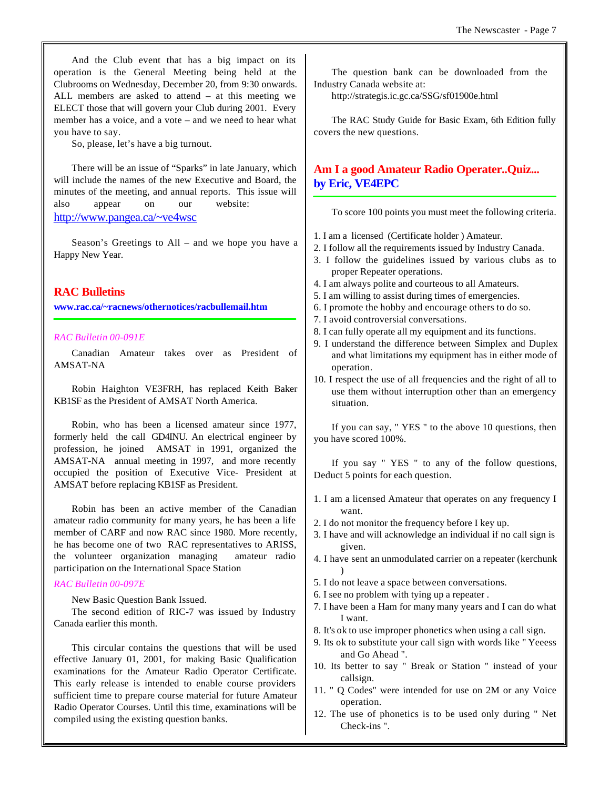And the Club event that has a big impact on its operation is the General Meeting being held at the Clubrooms on Wednesday, December 20, from 9:30 onwards. ALL members are asked to attend – at this meeting we ELECT those that will govern your Club during 2001. Every member has a voice, and a vote – and we need to hear what you have to say.

So, please, let's have a big turnout.

There will be an issue of "Sparks" in late January, which will include the names of the new Executive and Board, the minutes of the meeting, and annual reports. This issue will also appear on our website: http://www.pangea.ca/~ve4wsc

Season's Greetings to All – and we hope you have a Happy New Year.

#### **RAC Bulletins**

**www.rac.ca/~racnews/othernotices/racbullemail.htm**

#### *RAC Bulletin 00-091E*

Canadian Amateur takes over as President of AMSAT-NA

Robin Haighton VE3FRH, has replaced Keith Baker KB1SF as the President of AMSAT North America.

Robin, who has been a licensed amateur since 1977, formerly held the call GD4INU. An electrical engineer by profession, he joined AMSAT in 1991, organized the AMSAT-NA annual meeting in 1997, and more recently occupied the position of Executive Vice- President at AMSAT before replacing KB1SF as President.

Robin has been an active member of the Canadian amateur radio community for many years, he has been a life member of CARF and now RAC since 1980. More recently, he has become one of two RAC representatives to ARISS, the volunteer organization managing amateur radio participation on the International Space Station

#### *RAC Bulletin 00-097E*

New Basic Question Bank Issued.

The second edition of RIC-7 was issued by Industry Canada earlier this month.

This circular contains the questions that will be used effective January 01, 2001, for making Basic Qualification examinations for the Amateur Radio Operator Certificate. This early release is intended to enable course providers sufficient time to prepare course material for future Amateur Radio Operator Courses. Until this time, examinations will be compiled using the existing question banks.

The question bank can be downloaded from the Industry Canada website at:

http://strategis.ic.gc.ca/SSG/sf01900e.html

The RAC Study Guide for Basic Exam, 6th Edition fully covers the new questions.

# **Am I a good Amateur Radio Operater..Quiz... by Eric, VE4EPC**

To score 100 points you must meet the following criteria.

- 1. I am a licensed (Certificate holder ) Amateur.
- 2. I follow all the requirements issued by Industry Canada.
- 3. I follow the guidelines issued by various clubs as to proper Repeater operations.
- 4. I am always polite and courteous to all Amateurs.
- 5. I am willing to assist during times of emergencies.
- 6. I promote the hobby and encourage others to do so.
- 7. I avoid controversial conversations.
- 8. I can fully operate all my equipment and its functions.
- 9. I understand the difference between Simplex and Duplex and what limitations my equipment has in either mode of operation.
- 10. I respect the use of all frequencies and the right of all to use them without interruption other than an emergency situation.

If you can say, " YES " to the above 10 questions, then you have scored 100%.

If you say " YES " to any of the follow questions, Deduct 5 points for each question.

- 1. I am a licensed Amateur that operates on any frequency I want.
- 2. I do not monitor the frequency before I key up.
- 3. I have and will acknowledge an individual if no call sign is given.
- 4. I have sent an unmodulated carrier on a repeater (kerchunk )
- 5. I do not leave a space between conversations.
- 6. I see no problem with tying up a repeater .
- 7. I have been a Ham for many many years and I can do what I want.
- 8. It's ok to use improper phonetics when using a call sign.
- 9. Its ok to substitute your call sign with words like " Yeeess and Go Ahead ".
- 10. Its better to say " Break or Station " instead of your callsign.
- 11. " Q Codes" were intended for use on 2M or any Voice operation.
- 12. The use of phonetics is to be used only during " Net Check-ins ".